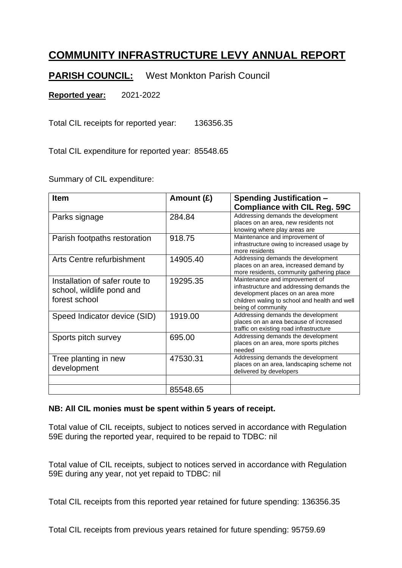## **COMMUNITY INFRASTRUCTURE LEVY ANNUAL REPORT**

**PARISH COUNCIL:** West Monkton Parish Council

**Reported year:** 2021-2022

Total CIL receipts for reported year: 136356.35

Total CIL expenditure for reported year: 85548.65

Summary of CIL expenditure:

| <b>Item</b>                                                                  | Amount $(E)$ | <b>Spending Justification -</b><br><b>Compliance with CIL Reg. 59C</b>                                                                                                                   |
|------------------------------------------------------------------------------|--------------|------------------------------------------------------------------------------------------------------------------------------------------------------------------------------------------|
| Parks signage                                                                | 284.84       | Addressing demands the development<br>places on an area, new residents not<br>knowing where play areas are                                                                               |
| Parish footpaths restoration                                                 | 918.75       | Maintenance and improvement of<br>infrastructure owing to increased usage by<br>more residents                                                                                           |
| Arts Centre refurbishment                                                    | 14905.40     | Addressing demands the development<br>places on an area, increased demand by<br>more residents, community gathering place                                                                |
| Installation of safer route to<br>school, wildlife pond and<br>forest school | 19295.35     | Maintenance and improvement of<br>infrastructure and addressing demands the<br>development places on an area more<br>children waling to school and health and well<br>being of community |
| Speed Indicator device (SID)                                                 | 1919.00      | Addressing demands the development<br>places on an area because of increased<br>traffic on existing road infrastructure                                                                  |
| Sports pitch survey                                                          | 695.00       | Addressing demands the development<br>places on an area, more sports pitches<br>needed                                                                                                   |
| Tree planting in new<br>development                                          | 47530.31     | Addressing demands the development<br>places on an area, landscaping scheme not<br>delivered by developers                                                                               |
|                                                                              |              |                                                                                                                                                                                          |
|                                                                              | 85548.65     |                                                                                                                                                                                          |

## **NB: All CIL monies must be spent within 5 years of receipt.**

Total value of CIL receipts, subject to notices served in accordance with Regulation 59E during the reported year, required to be repaid to TDBC: nil

Total value of CIL receipts, subject to notices served in accordance with Regulation 59E during any year, not yet repaid to TDBC: nil

Total CIL receipts from this reported year retained for future spending: 136356.35

Total CIL receipts from previous years retained for future spending: 95759.69